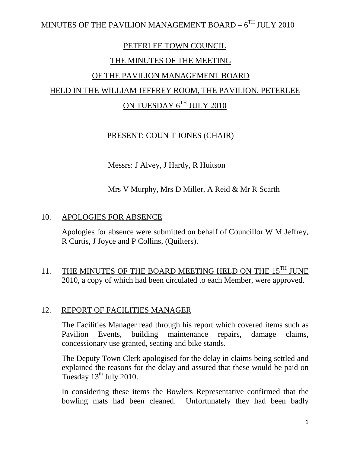#### PETERLEE TOWN COUNCIL

#### THE MINUTES OF THE MEETING

## OF THE PAVILION MANAGEMENT BOARD

# HELD IN THE WILLIAM JEFFREY ROOM, THE PAVILION, PETERLEE

# ON TUESDAY 6TH JULY 2010

## PRESENT: COUN T JONES (CHAIR)

Messrs: J Alvey, J Hardy, R Huitson

## Mrs V Murphy, Mrs D Miller, A Reid & Mr R Scarth

#### 10. APOLOGIES FOR ABSENCE

Apologies for absence were submitted on behalf of Councillor W M Jeffrey, R Curtis, J Joyce and P Collins, (Quilters).

## 11. THE MINUTES OF THE BOARD MEETING HELD ON THE  $15^{TH}$  JUNE 2010, a copy of which had been circulated to each Member, were approved.

#### 12. REPORT OF FACILITIES MANAGER

The Facilities Manager read through his report which covered items such as Pavilion Events, building maintenance repairs, damage claims, concessionary use granted, seating and bike stands.

The Deputy Town Clerk apologised for the delay in claims being settled and explained the reasons for the delay and assured that these would be paid on Tuesday  $13<sup>th</sup>$  July 2010.

In considering these items the Bowlers Representative confirmed that the bowling mats had been cleaned. Unfortunately they had been badly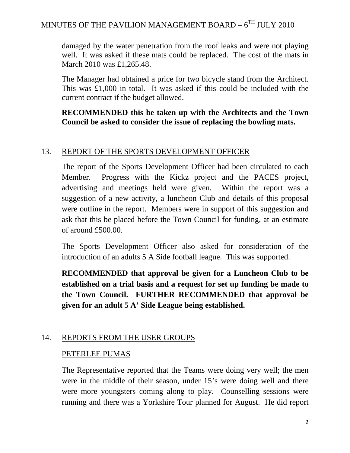damaged by the water penetration from the roof leaks and were not playing well. It was asked if these mats could be replaced. The cost of the mats in March 2010 was £1,265.48.

The Manager had obtained a price for two bicycle stand from the Architect. This was £1,000 in total. It was asked if this could be included with the current contract if the budget allowed.

## **RECOMMENDED this be taken up with the Architects and the Town Council be asked to consider the issue of replacing the bowling mats.**

## 13. REPORT OF THE SPORTS DEVELOPMENT OFFICER

The report of the Sports Development Officer had been circulated to each Member. Progress with the Kickz project and the PACES project, advertising and meetings held were given. Within the report was a suggestion of a new activity, a luncheon Club and details of this proposal were outline in the report. Members were in support of this suggestion and ask that this be placed before the Town Council for funding, at an estimate of around £500.00.

The Sports Development Officer also asked for consideration of the introduction of an adults 5 A Side football league. This was supported.

**RECOMMENDED that approval be given for a Luncheon Club to be established on a trial basis and a request for set up funding be made to the Town Council. FURTHER RECOMMENDED that approval be given for an adult 5 A' Side League being established.** 

## 14. REPORTS FROM THE USER GROUPS

## PETERLEE PUMAS

The Representative reported that the Teams were doing very well; the men were in the middle of their season, under 15's were doing well and there were more youngsters coming along to play. Counselling sessions were running and there was a Yorkshire Tour planned for August. He did report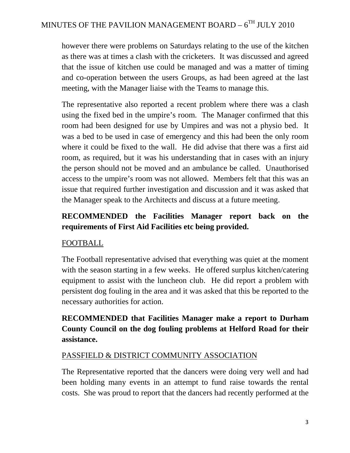however there were problems on Saturdays relating to the use of the kitchen as there was at times a clash with the cricketers. It was discussed and agreed that the issue of kitchen use could be managed and was a matter of timing and co-operation between the users Groups, as had been agreed at the last meeting, with the Manager liaise with the Teams to manage this.

The representative also reported a recent problem where there was a clash using the fixed bed in the umpire's room. The Manager confirmed that this room had been designed for use by Umpires and was not a physio bed. It was a bed to be used in case of emergency and this had been the only room where it could be fixed to the wall. He did advise that there was a first aid room, as required, but it was his understanding that in cases with an injury the person should not be moved and an ambulance be called. Unauthorised access to the umpire's room was not allowed. Members felt that this was an issue that required further investigation and discussion and it was asked that the Manager speak to the Architects and discuss at a future meeting.

## **RECOMMENDED the Facilities Manager report back on the requirements of First Aid Facilities etc being provided.**

## FOOTBALL

The Football representative advised that everything was quiet at the moment with the season starting in a few weeks. He offered surplus kitchen/catering equipment to assist with the luncheon club. He did report a problem with persistent dog fouling in the area and it was asked that this be reported to the necessary authorities for action.

# **RECOMMENDED that Facilities Manager make a report to Durham County Council on the dog fouling problems at Helford Road for their assistance.**

## PASSFIELD & DISTRICT COMMUNITY ASSOCIATION

The Representative reported that the dancers were doing very well and had been holding many events in an attempt to fund raise towards the rental costs. She was proud to report that the dancers had recently performed at the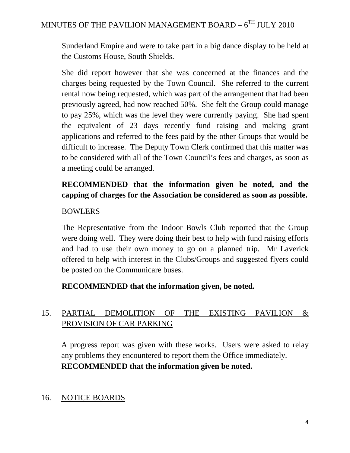Sunderland Empire and were to take part in a big dance display to be held at the Customs House, South Shields.

She did report however that she was concerned at the finances and the charges being requested by the Town Council. She referred to the current rental now being requested, which was part of the arrangement that had been previously agreed, had now reached 50%. She felt the Group could manage to pay 25%, which was the level they were currently paying. She had spent the equivalent of 23 days recently fund raising and making grant applications and referred to the fees paid by the other Groups that would be difficult to increase. The Deputy Town Clerk confirmed that this matter was to be considered with all of the Town Council's fees and charges, as soon as a meeting could be arranged.

# **RECOMMENDED that the information given be noted, and the capping of charges for the Association be considered as soon as possible.**

## BOWLERS

The Representative from the Indoor Bowls Club reported that the Group were doing well. They were doing their best to help with fund raising efforts and had to use their own money to go on a planned trip. Mr Laverick offered to help with interest in the Clubs/Groups and suggested flyers could be posted on the Communicare buses.

## **RECOMMENDED that the information given, be noted.**

# 15. PARTIAL DEMOLITION OF THE EXISTING PAVILION & PROVISION OF CAR PARKING

A progress report was given with these works. Users were asked to relay any problems they encountered to report them the Office immediately. **RECOMMENDED that the information given be noted.** 

## 16. NOTICE BOARDS